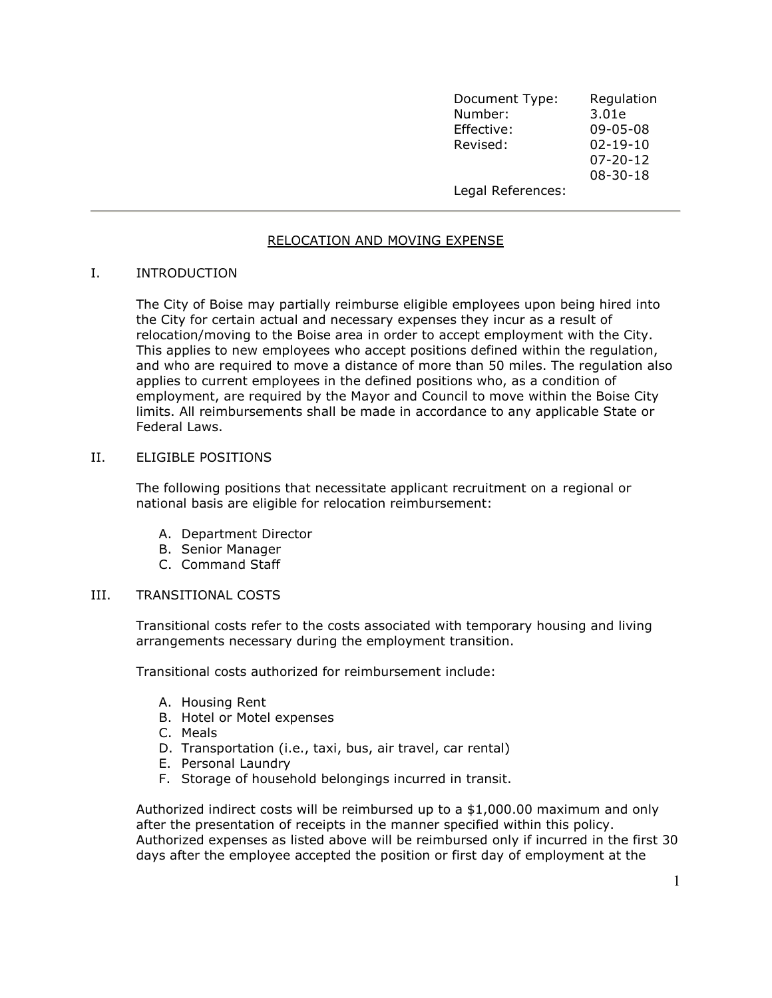Document Type: Regulation Number: 3.01e Effective: 09-05-08 Revised: the property of the Revised: the contract of  $\sim$  02-19-10  $07-20-12$  $08-30-18$ Legal References:

# RELOCATION AND MOVING EXPENSE

### I. INTRODUCTION

The City of Boise may partially reimburse eligible employees upon being hired into the City for certain actual and necessary expenses they incur as a result of relocation/moving to the Boise area in order to accept employment with the City. This applies to new employees who accept positions defined within the regulation, and who are required to move a distance of more than 50 miles. The regulation also applies to current employees in the defined positions who, as a condition of employment, are required by the Mayor and Council to move within the Boise City limits. All reimbursements shall be made in accordance to any applicable State or Federal Laws.

### II. ELIGIBLE POSITIONS

The following positions that necessitate applicant recruitment on a regional or national basis are eligible for relocation reimbursement:

- A. Department Director
- B. Senior Manager
- C. Command Staff

#### III. TRANSITIONAL COSTS

Transitional costs refer to the costs associated with temporary housing and living arrangements necessary during the employment transition.

Transitional costs authorized for reimbursement include:

- A. Housing Rent
- B. Hotel or Motel expenses
- C. Meals
- D. Transportation (i.e., taxi, bus, air travel, car rental)
- E. Personal Laundry
- F. Storage of household belongings incurred in transit.

Authorized indirect costs will be reimbursed up to a \$1,000.00 maximum and only after the presentation of receipts in the manner specified within this policy. Authorized expenses as listed above will be reimbursed only if incurred in the first 30 days after the employee accepted the position or first day of employment at the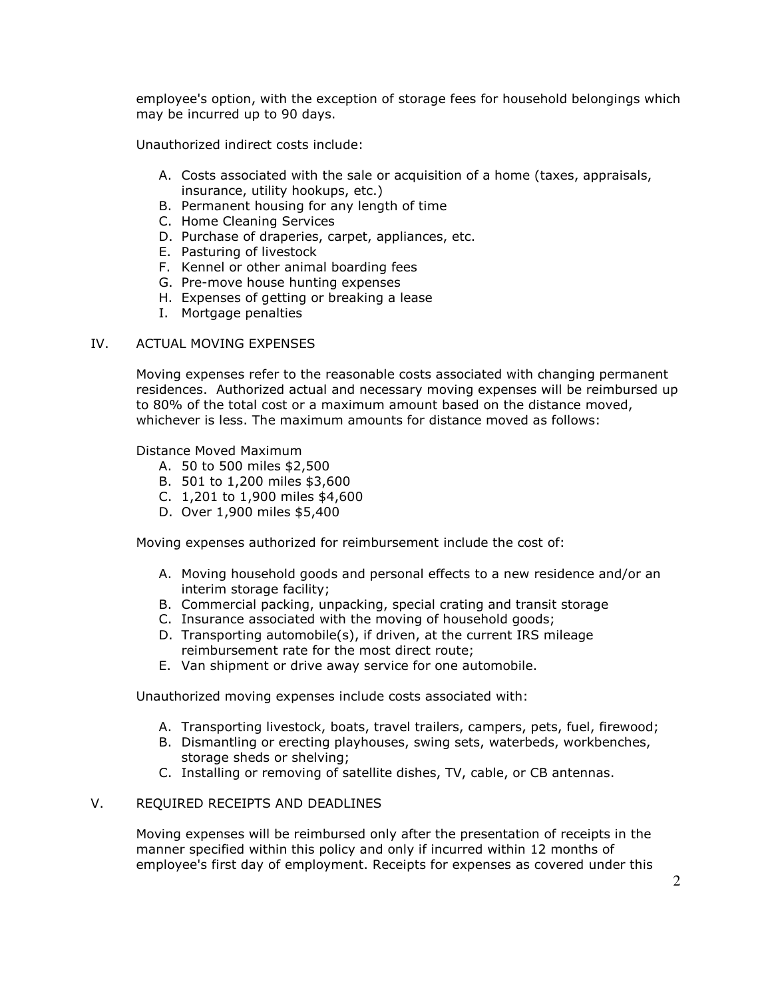employee's option, with the exception of storage fees for household belongings which may be incurred up to 90 days.

Unauthorized indirect costs include:

- A. Costs associated with the sale or acquisition of a home (taxes, appraisals, insurance, utility hookups, etc.)
- B. Permanent housing for any length of time
- C. Home Cleaning Services
- D. Purchase of draperies, carpet, appliances, etc.
- E. Pasturing of livestock
- F. Kennel or other animal boarding fees
- G. Pre-move house hunting expenses
- H. Expenses of getting or breaking a lease
- I. Mortgage penalties

# IV. ACTUAL MOVING EXPENSES

Moving expenses refer to the reasonable costs associated with changing permanent residences. Authorized actual and necessary moving expenses will be reimbursed up to 80% of the total cost or a maximum amount based on the distance moved, whichever is less. The maximum amounts for distance moved as follows:

Distance Moved Maximum

- A. 50 to 500 miles \$2,500
- B. 501 to 1,200 miles \$3,600
- C. 1,201 to 1,900 miles \$4,600
- D. Over 1,900 miles \$5,400

Moving expenses authorized for reimbursement include the cost of:

- A. Moving household goods and personal effects to a new residence and/or an interim storage facility;
- B. Commercial packing, unpacking, special crating and transit storage
- C. Insurance associated with the moving of household goods;
- D. Transporting automobile(s), if driven, at the current IRS mileage reimbursement rate for the most direct route;
- E. Van shipment or drive away service for one automobile.

Unauthorized moving expenses include costs associated with:

- A. Transporting livestock, boats, travel trailers, campers, pets, fuel, firewood;
- B. Dismantling or erecting playhouses, swing sets, waterbeds, workbenches, storage sheds or shelving;
- C. Installing or removing of satellite dishes, TV, cable, or CB antennas.

# V. REQUIRED RECEIPTS AND DEADLINES

Moving expenses will be reimbursed only after the presentation of receipts in the manner specified within this policy and only if incurred within 12 months of employee's first day of employment. Receipts for expenses as covered under this